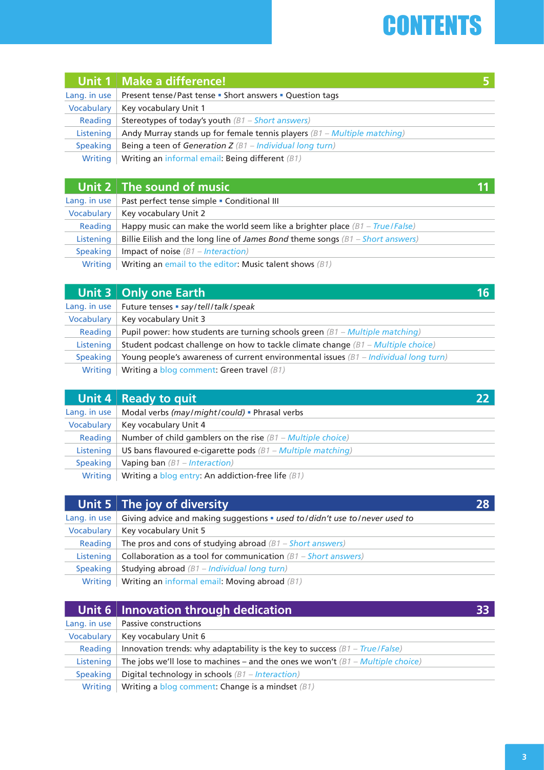## **CONTENTS**

|                 | Unit 1   Make a difference!                                                       | 5  |
|-----------------|-----------------------------------------------------------------------------------|----|
| Lang. in use    | Present tense/Past tense • Short answers • Question tags                          |    |
| Vocabulary      | Key vocabulary Unit 1                                                             |    |
| Reading         | Stereotypes of today's youth $(B1 - Short\ answers)$                              |    |
| Listening       | Andy Murray stands up for female tennis players $(B1 - \text{Multiple matching})$ |    |
| <b>Speaking</b> | Being a teen of Generation $Z(B1 - Individual long turn)$                         |    |
| Writing         | Writing an informal email: Being different (B1)                                   |    |
|                 |                                                                                   |    |
|                 |                                                                                   |    |
|                 | Unit $2 \mid$ The sound of music                                                  | 11 |
| Lang. in use    | Past perfect tense simple · Conditional III                                       |    |
| Vocabulary      | Key vocabulary Unit 2                                                             |    |
| Reading         | Happy music can make the world seem like a brighter place $(B1 - True / False)$   |    |
| Listening       | Billie Eilish and the long line of James Bond theme songs $(B1 - Short\ answers)$ |    |
| <b>Speaking</b> | Impact of noise $(B1 - Interator)$                                                |    |

Writing Writing an email to the editor: Music talent shows *(B1)*

|                          | Unit 3   Only one Earth                                                                | 16 |
|--------------------------|----------------------------------------------------------------------------------------|----|
| Lang. in use $\parallel$ | Future tenses • say/tell/talk/speak                                                    |    |
| Vocabulary               | Key vocabulary Unit 3                                                                  |    |
| Reading                  | Pupil power: how students are turning schools green $(B1 - Multiple matching)$         |    |
| Listening                | Student podcast challenge on how to tackle climate change $(B1 - Multiple choice)$     |    |
| <b>Speaking</b>          | Young people's awareness of current environmental issues $(B1 - Individual long turn)$ |    |
| Writing                  | Writing a blog comment: Green travel (B1)                                              |    |

|                 | Unit 4   Ready to quit                                               |  |
|-----------------|----------------------------------------------------------------------|--|
| Lang. in use    | Modal verbs $(may/might/could)$ • Phrasal verbs                      |  |
| Vocabulary      | Key vocabulary Unit 4                                                |  |
| Reading         | Number of child gamblers on the rise $(B1 - \text{Multiple choice})$ |  |
| Listening       | US bans flavoured e-cigarette pods $(B1 - \text{Multiple matching})$ |  |
| <b>Speaking</b> | Vaping ban $(B1 - Interator)$                                        |  |
| Writing         | Writing a blog entry: An addiction-free life $(B1)$                  |  |

|                 | Unit 5 The joy of diversity                                                | 28 |
|-----------------|----------------------------------------------------------------------------|----|
| Lang. in use    | Giving advice and making suggestions " used to/didn't use to/never used to |    |
| Vocabulary      | Key vocabulary Unit 5                                                      |    |
| Reading         | The pros and cons of studying abroad $(B1 - Short\ answers)$               |    |
| Listenina       | Collaboration as a tool for communication $(B1 - Short\ answers)$          |    |
| <b>Speaking</b> | Studying abroad $(B1 - Individual long turn)$                              |    |
| Writing         | Writing an informal email: Moving abroad (B1)                              |    |

|                          | Unit $6 \mid$ Innovation through dedication                                                  |  |
|--------------------------|----------------------------------------------------------------------------------------------|--|
| Lang. in use $\parallel$ | Passive constructions                                                                        |  |
| Vocabulary               | Key vocabulary Unit 6                                                                        |  |
| Reading                  | Innovation trends: why adaptability is the key to success $(B1 - True / False)$              |  |
| Listenina                | The jobs we'll lose to machines – and the ones we won't $(\beta_1 - \text{Multiple choice})$ |  |
| <b>Speaking</b>          | Digital technology in schools $(B1 - Interator)$                                             |  |
| Writina                  | Writing a blog comment: Change is a mindset $(B1)$                                           |  |